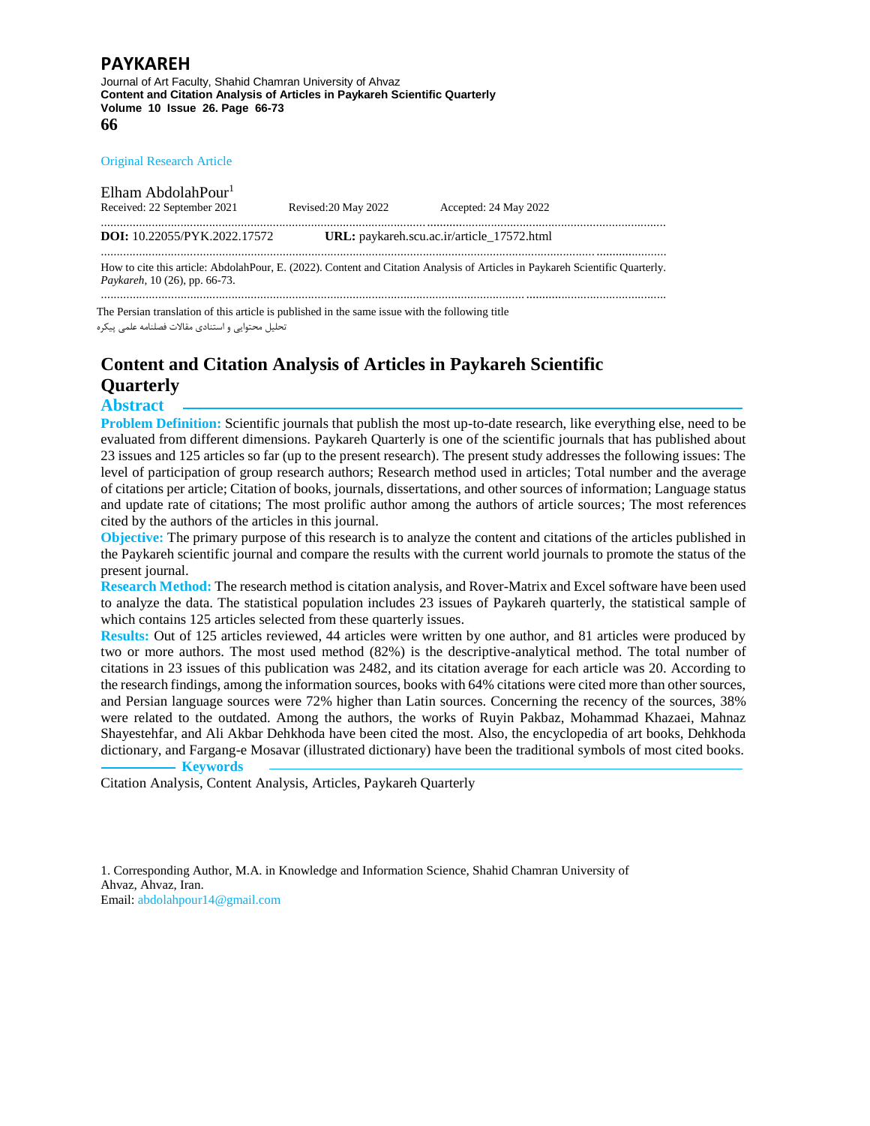Journal of Art Faculty, Shahid Chamran University of Ahvaz **Content and Citation Analysis of Articles in Paykareh Scientific Quarterly Volume 10 Issue 26. Page 66-73 66**

#### Original Research Article

Elham AbdolahPour 1 Received: 22 September 2021 Revised:20 May 2022 Accepted: 24 May 2022 ................................................................................................................................................................................. **DOI:** [10.22055/PYK.2022.17572](https://dx.doi.org/10.22055/pyk.2022.17572) **URL:** paykareh.scu.ac.ir/article\_17572.html ........................................................................................................................................................... ......................

How to cite this article: AbdolahPour, E. (2022). Content and Citation Analysis of Articles in Paykareh Scientific Quarterly. *Paykareh*, 10 (26), pp. 66-73. ..................................................................................................................................... ............................................

The Persian translation of this article is published in the same issue with the following title تحلیل محتوایی و استنادی مقاالت فصلنامه علمی پیکره

# **Content and Citation Analysis of Articles in Paykareh Scientific Quarterly**

## **Abstract**

**Problem Definition:** Scientific journals that publish the most up-to-date research, like everything else, need to be evaluated from different dimensions. Paykareh Quarterly is one of the scientific journals that has published about 23 issues and 125 articles so far (up to the present research). The present study addresses the following issues: The level of participation of group research authors; Research method used in articles; Total number and the average of citations per article; Citation of books, journals, dissertations, and other sources of information; Language status and update rate of citations; The most prolific author among the authors of article sources; The most references cited by the authors of the articles in this journal.

**Objective:** The primary purpose of this research is to analyze the content and citations of the articles published in the Paykareh scientific journal and compare the results with the current world journals to promote the status of the present journal.

**Research Method:** The research method is citation analysis, and Rover-Matrix and Excel software have been used to analyze the data. The statistical population includes 23 issues of Paykareh quarterly, the statistical sample of which contains 125 articles selected from these quarterly issues.

**Results:** Out of 125 articles reviewed, 44 articles were written by one author, and 81 articles were produced by two or more authors. The most used method (82%) is the descriptive-analytical method. The total number of citations in 23 issues of this publication was 2482, and its citation average for each article was 20. According to the research findings, among the information sources, books with 64% citations were cited more than other sources, and Persian language sources were 72% higher than Latin sources. Concerning the recency of the sources, 38% were related to the outdated. Among the authors, the works of Ruyin Pakbaz, Mohammad Khazaei, Mahnaz Shayestehfar, and Ali Akbar Dehkhoda have been cited the most. Also, the encyclopedia of art books, Dehkhoda dictionary, and Fargang-e Mosavar (illustrated dictionary) have been the traditional symbols of most cited books.  **Keywords**

Citation Analysis, Content Analysis, Articles, Paykareh Quarterly

1. Corresponding Author, M.A. in Knowledge and Information Science, Shahid Chamran University of Ahvaz, Ahvaz, Iran. Email: abdolahpour14@gmail.com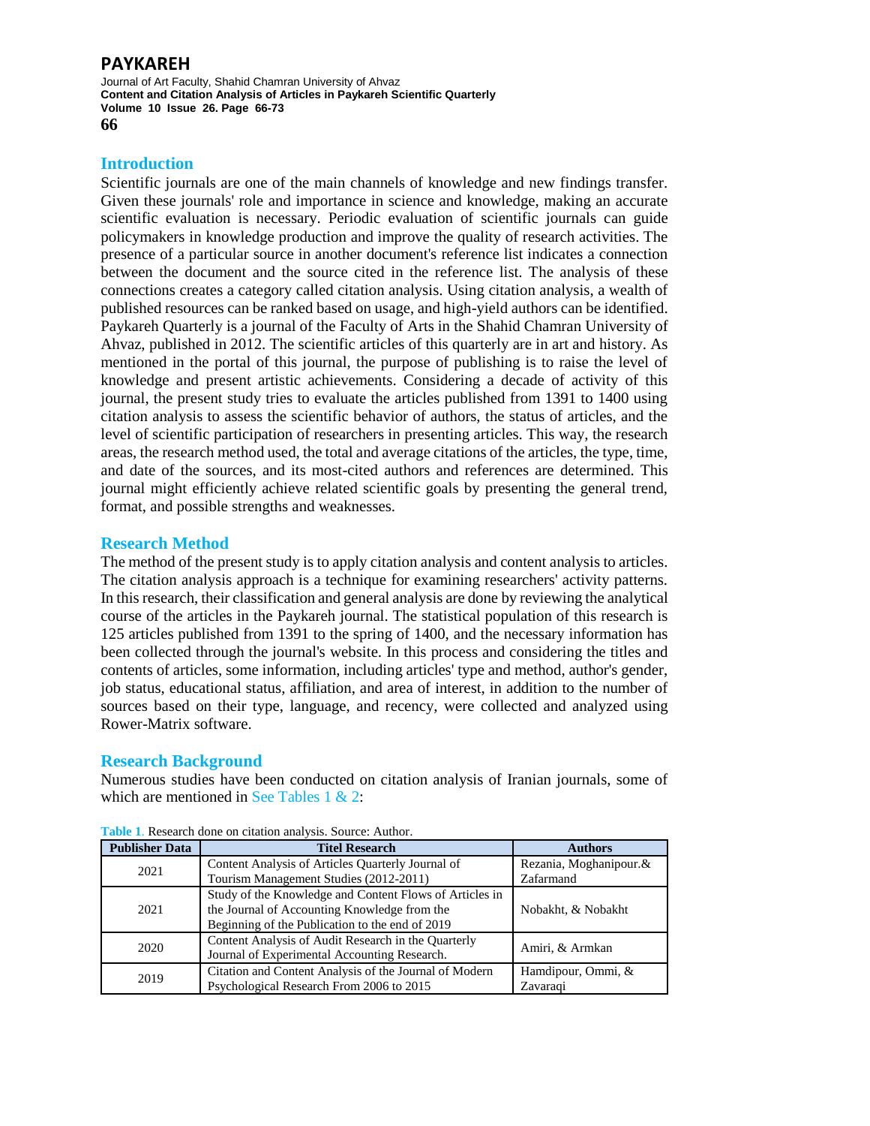Journal of Art Faculty, Shahid Chamran University of Ahvaz **Content and Citation Analysis of Articles in Paykareh Scientific Quarterly Volume 10 Issue 26. Page 66-73 66**

## **Introduction**

Scientific journals are one of the main channels of knowledge and new findings transfer. Given these journals' role and importance in science and knowledge, making an accurate scientific evaluation is necessary. Periodic evaluation of scientific journals can guide policymakers in knowledge production and improve the quality of research activities. The presence of a particular source in another document's reference list indicates a connection between the document and the source cited in the reference list. The analysis of these connections creates a category called citation analysis. Using citation analysis, a wealth of published resources can be ranked based on usage, and high-yield authors can be identified. Paykareh Quarterly is a journal of the Faculty of Arts in the Shahid Chamran University of Ahvaz, published in 2012. The scientific articles of this quarterly are in art and history. As mentioned in the portal of this journal, the purpose of publishing is to raise the level of knowledge and present artistic achievements. Considering a decade of activity of this journal, the present study tries to evaluate the articles published from 1391 to 1400 using citation analysis to assess the scientific behavior of authors, the status of articles, and the level of scientific participation of researchers in presenting articles. This way, the research areas, the research method used, the total and average citations of the articles, the type, time, and date of the sources, and its most-cited authors and references are determined. This journal might efficiently achieve related scientific goals by presenting the general trend, format, and possible strengths and weaknesses.

## **Research Method**

The method of the present study is to apply citation analysis and content analysis to articles. The citation analysis approach is a technique for examining researchers' activity patterns. In this research, their classification and general analysis are done by reviewing the analytical course of the articles in the Paykareh journal. The statistical population of this research is 125 articles published from 1391 to the spring of 1400, and the necessary information has been collected through the journal's website. In this process and considering the titles and contents of articles, some information, including articles' type and method, author's gender, job status, educational status, affiliation, and area of interest, in addition to the number of sources based on their type, language, and recency, were collected and analyzed using Rower-Matrix software.

## **Research Background**

Numerous studies have been conducted on citation analysis of Iranian journals, some of which are mentioned in See Tables  $1 \& 2$ :

| <b>Publisher Data</b> | <b>Titel Research</b>                                   | <b>Authors</b>         |  |  |
|-----------------------|---------------------------------------------------------|------------------------|--|--|
| 2021                  | Content Analysis of Articles Quarterly Journal of       | Rezania, Moghanipour.& |  |  |
|                       | Tourism Management Studies (2012-2011)                  | Zafarmand              |  |  |
|                       | Study of the Knowledge and Content Flows of Articles in |                        |  |  |
| 2021                  | the Journal of Accounting Knowledge from the            | Nobakht, & Nobakht     |  |  |
|                       | Beginning of the Publication to the end of 2019         |                        |  |  |
| 2020                  | Content Analysis of Audit Research in the Quarterly     | Amiri, & Armkan        |  |  |
|                       | Journal of Experimental Accounting Research.            |                        |  |  |
| 2019                  | Citation and Content Analysis of the Journal of Modern  | Hamdipour, Ommi, &     |  |  |
|                       | Psychological Research From 2006 to 2015                | Zavaragi               |  |  |

**Table 1**. Research done on citation analysis. Source: Author.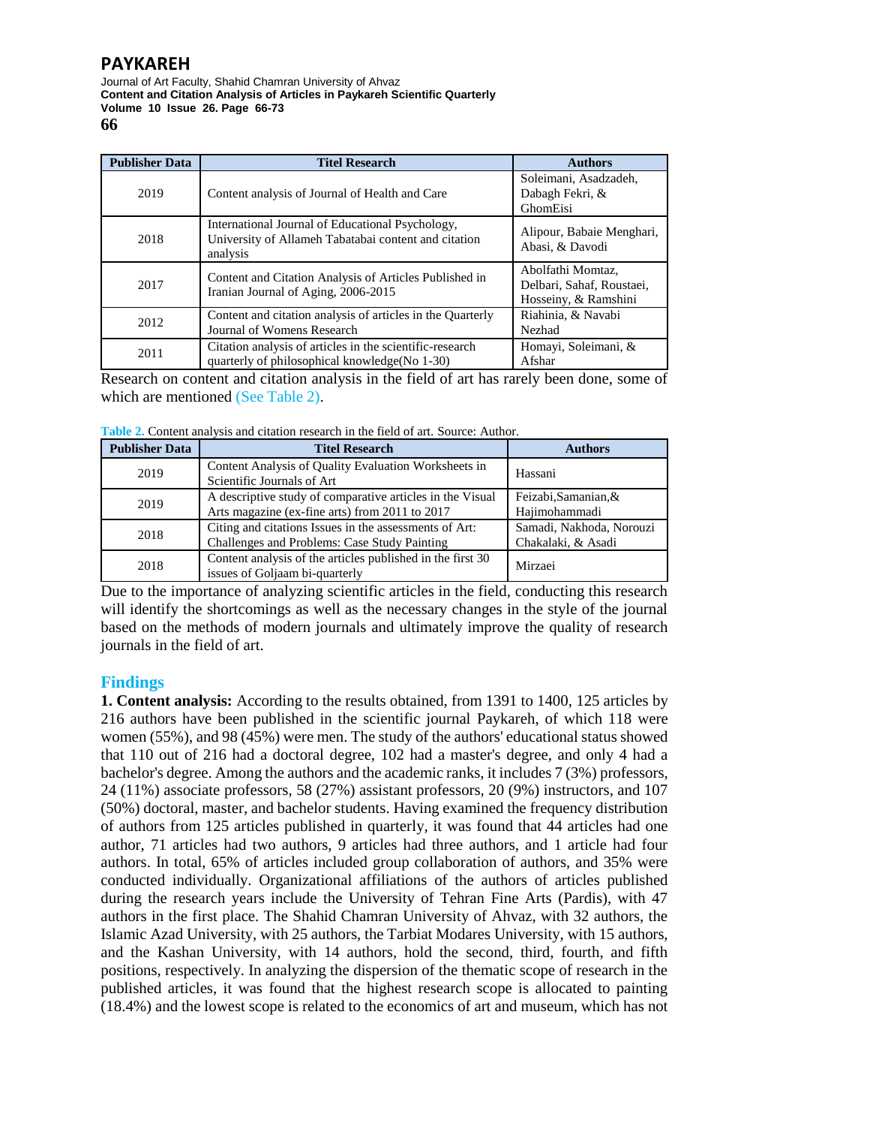Journal of Art Faculty, Shahid Chamran University of Ahvaz **Content and Citation Analysis of Articles in Paykareh Scientific Quarterly Volume 10 Issue 26. Page 66-73 66**

**Publisher Data Titel Research Authors** 2019 Content analysis of Journal of Health and Care Soleimani, Asadzadeh, Dabagh Fekri, & GhomEisi 2018 International Journal of Educational Psychology, University of Allameh Tabatabai content and citation analysis Alipour, Babaie Menghari, Abasi, & Davodi 2017 Content and Citation Analysis of Articles Published in Iranian Journal of Aging, 2006-2015 Abolfathi Momtaz, Delbari, Sahaf, Roustaei, Hosseiny, & Ramshini <sup>2012</sup> Content and citation analysis of articles in the Quarterly Journal of Womens Research Riahinia, & Navabi Nezhad 2011 Citation analysis of articles in the scientific-research quarterly of philosophical knowledge(No 1-30) Homayi, Soleimani, & Afshar

Research on content and citation analysis in the field of art has rarely been done, some of which are mentioned (See Table 2).

**Table 2.** Content analysis and citation research in the field of art. Source: Author.

| <b>Publisher Data</b> | <b>Titel Research</b>                                                                                       | <b>Authors</b>                                 |
|-----------------------|-------------------------------------------------------------------------------------------------------------|------------------------------------------------|
| 2019                  | Content Analysis of Quality Evaluation Worksheets in<br>Scientific Journals of Art                          | Hassani                                        |
| 2019                  | A descriptive study of comparative articles in the Visual<br>Arts magazine (ex-fine arts) from 2011 to 2017 | Feizabi, Samanian, &<br>Hajimohammadi          |
| 2018                  | Citing and citations Issues in the assessments of Art:<br>Challenges and Problems: Case Study Painting      | Samadi, Nakhoda, Norouzi<br>Chakalaki, & Asadi |
| 2018                  | Content analysis of the articles published in the first 30<br>issues of Goljaam bi-quarterly                | Mirzaei                                        |

Due to the importance of analyzing scientific articles in the field, conducting this research will identify the shortcomings as well as the necessary changes in the style of the journal based on the methods of modern journals and ultimately improve the quality of research journals in the field of art.

## **Findings**

**1. Content analysis:** According to the results obtained, from 1391 to 1400, 125 articles by 216 authors have been published in the scientific journal Paykareh, of which 118 were women (55%), and 98 (45%) were men. The study of the authors' educational status showed that 110 out of 216 had a doctoral degree, 102 had a master's degree, and only 4 had a bachelor's degree. Among the authors and the academic ranks, it includes 7 (3%) professors, 24 (11%) associate professors, 58 (27%) assistant professors, 20 (9%) instructors, and 107 (50%) doctoral, master, and bachelor students. Having examined the frequency distribution of authors from 125 articles published in quarterly, it was found that 44 articles had one author, 71 articles had two authors, 9 articles had three authors, and 1 article had four authors. In total, 65% of articles included group collaboration of authors, and 35% were conducted individually. Organizational affiliations of the authors of articles published during the research years include the University of Tehran Fine Arts (Pardis), with 47 authors in the first place. The Shahid Chamran University of Ahvaz, with 32 authors, the Islamic Azad University, with 25 authors, the Tarbiat Modares University, with 15 authors, and the Kashan University, with 14 authors, hold the second, third, fourth, and fifth positions, respectively. In analyzing the dispersion of the thematic scope of research in the published articles, it was found that the highest research scope is allocated to painting (18.4%) and the lowest scope is related to the economics of art and museum, which has not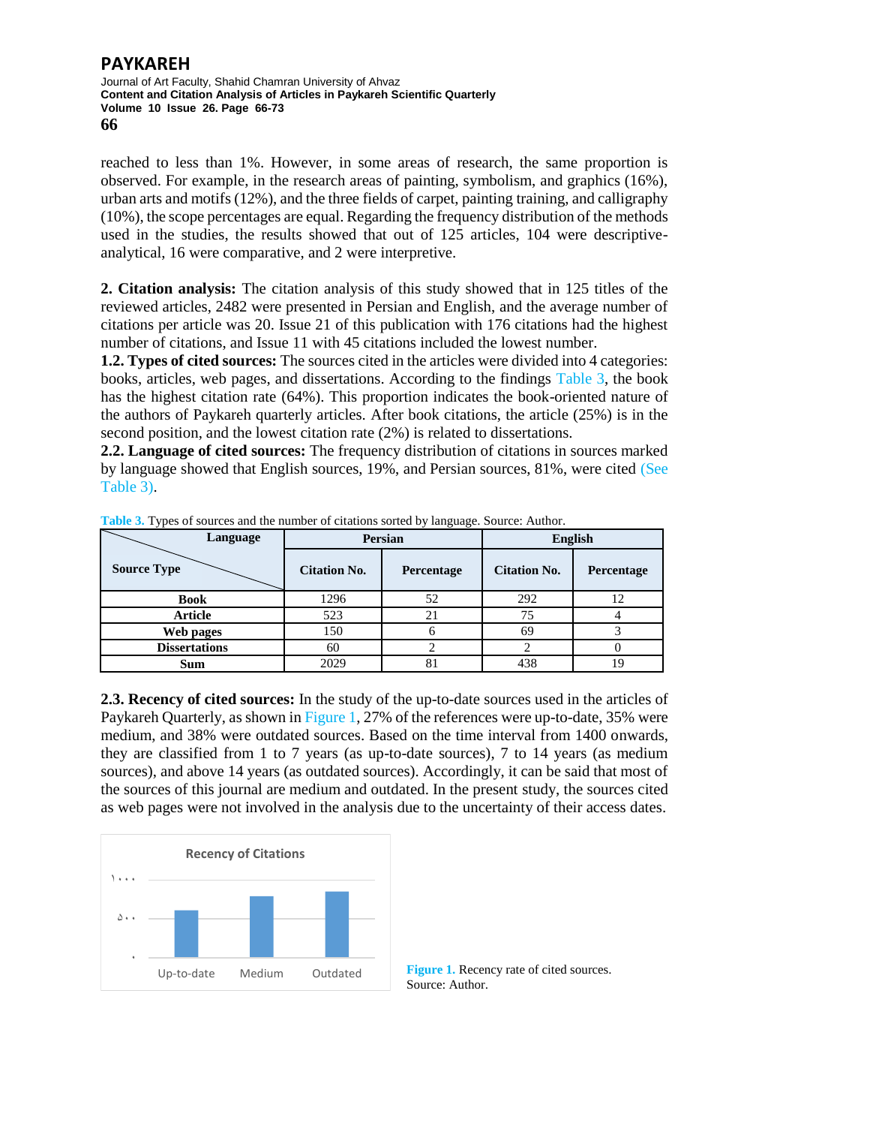#### **PAYKAREH** Journal of Art Faculty, Shahid Chamran University of Ahvaz **Content and Citation Analysis of Articles in Paykareh Scientific Quarterly Volume 10 Issue 26. Page 66-73 66**

reached to less than 1%. However, in some areas of research, the same proportion is observed. For example, in the research areas of painting, symbolism, and graphics (16%), urban arts and motifs (12%), and the three fields of carpet, painting training, and calligraphy (10%), the scope percentages are equal. Regarding the frequency distribution of the methods used in the studies, the results showed that out of 125 articles, 104 were descriptiveanalytical, 16 were comparative, and 2 were interpretive.

**2. Citation analysis:** The citation analysis of this study showed that in 125 titles of the reviewed articles, 2482 were presented in Persian and English, and the average number of citations per article was 20. Issue 21 of this publication with 176 citations had the highest number of citations, and Issue 11 with 45 citations included the lowest number.

**1.2. Types of cited sources:** The sources cited in the articles were divided into 4 categories: books, articles, web pages, and dissertations. According to the findings Table 3, the book has the highest citation rate (64%). This proportion indicates the book-oriented nature of the authors of Paykareh quarterly articles. After book citations, the article (25%) is in the second position, and the lowest citation rate (2%) is related to dissertations.

**2.2. Language of cited sources:** The frequency distribution of citations in sources marked by language showed that English sources, 19%, and Persian sources, 81%, were cited (See Table 3).

| Language             |                     | Persian           | <b>English</b>      |            |  |
|----------------------|---------------------|-------------------|---------------------|------------|--|
| <b>Source Type</b>   | <b>Citation No.</b> | <b>Percentage</b> | <b>Citation No.</b> | Percentage |  |
| <b>Book</b>          | 1296                | 52                | 292                 |            |  |
| <b>Article</b>       | 523                 | 21                | 75                  |            |  |
| Web pages            | 150                 |                   | 69                  |            |  |
| <b>Dissertations</b> | 60                  |                   |                     |            |  |
| Sum                  | 2029                | 81                | 438                 |            |  |

**Table 3.** Types of sources and the number of citations sorted by language. Source: Author.

**2.3. Recency of cited sources:** In the study of the up-to-date sources used in the articles of Paykareh Quarterly, as shown in Figure 1, 27% of the references were up-to-date, 35% were medium, and 38% were outdated sources. Based on the time interval from 1400 onwards, they are classified from 1 to 7 years (as up-to-date sources), 7 to 14 years (as medium sources), and above 14 years (as outdated sources). Accordingly, it can be said that most of the sources of this journal are medium and outdated. In the present study, the sources cited as web pages were not involved in the analysis due to the uncertainty of their access dates.



**Figure 1.** Recency rate of cited sources. Source: Author.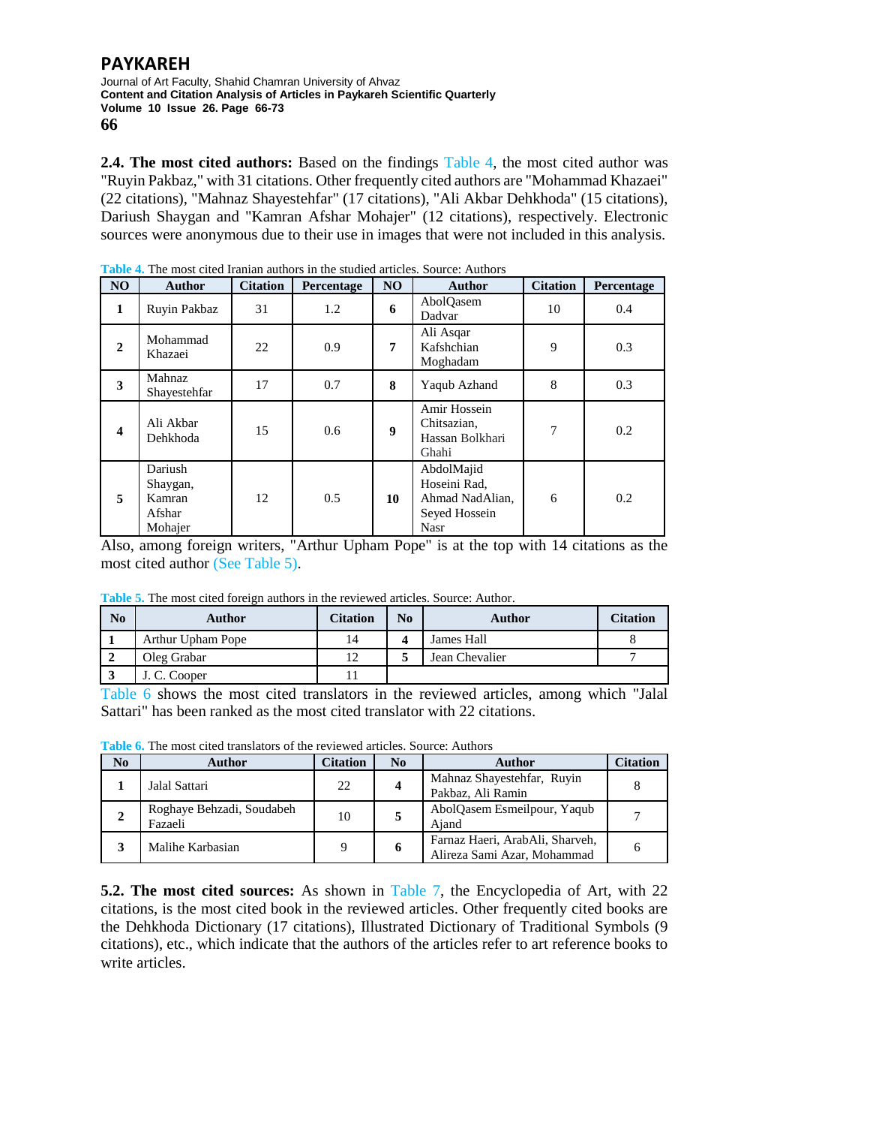Journal of Art Faculty, Shahid Chamran University of Ahvaz **Content and Citation Analysis of Articles in Paykareh Scientific Quarterly Volume 10 Issue 26. Page 66-73 66**

**2.4. The most cited authors:** Based on the findings Table 4, the most cited author was "Ruyin Pakbaz," with 31 citations. Other frequently cited authors are "Mohammad Khazaei" (22 citations), "Mahnaz Shayestehfar" (17 citations), "Ali Akbar Dehkhoda" (15 citations), Dariush Shaygan and "Kamran Afshar Mohajer" (12 citations), respectively. Electronic sources were anonymous due to their use in images that were not included in this analysis.

| N <sub>O</sub>          | <b>Author</b>                                      | <b>Citation</b> | Percentage | N <sub>O</sub> | <b>Author</b>                                                                 | <b>Citation</b> | Percentage |
|-------------------------|----------------------------------------------------|-----------------|------------|----------------|-------------------------------------------------------------------------------|-----------------|------------|
| 1                       | Ruyin Pakbaz                                       | 31              | 1.2        | 6              | AbolQasem<br>Dadvar                                                           | 10              | 0.4        |
| $\mathbf{2}$            | Mohammad<br>Khazaei                                | 22              | 0.9        | 7              | Ali Asqar<br>Kafshchian<br>Moghadam                                           | 9               | 0.3        |
| 3                       | <b>Mahnaz</b><br>Shayestehfar                      | 17              | 0.7        | 8              | Yaqub Azhand                                                                  | 8               | 0.3        |
| $\overline{\mathbf{4}}$ | Ali Akbar<br>Dehkhoda                              | 15              | 0.6        | 9              | Amir Hossein<br>Chitsazian,<br>Hassan Bolkhari<br>Ghahi                       | 7               | 0.2        |
| 5                       | Dariush<br>Shaygan,<br>Kamran<br>Afshar<br>Mohajer | 12              | 0.5        | 10             | AbdolMajid<br>Hoseini Rad,<br>Ahmad NadAlian,<br>Seyed Hossein<br><b>Nasr</b> | 6               | 0.2        |

**Table 4.** The most cited Iranian authors in the studied articles. Source: Authors

Also, among foreign writers, "Arthur Upham Pope" is at the top with 14 citations as the most cited author (See Table 5).

**Table 5.** The most cited foreign authors in the reviewed articles. Source: Author.

| No | Author            | <b>Citation</b> | No | Author         | Citation     |
|----|-------------------|-----------------|----|----------------|--------------|
|    | Arthur Upham Pope | 14              |    | James Hall     |              |
|    | Oleg Grabar       | 1 າ             |    | Jean Chevalier | $\mathbf{r}$ |
|    | J. C. Cooper      |                 |    |                |              |

Table 6 shows the most cited translators in the reviewed articles, among which "Jalal Sattari" has been ranked as the most cited translator with 22 citations.

**Table 6.** The most cited translators of the reviewed articles. Source: Authors

| N <sub>0</sub> | Author                               | Citation | No | Author                                                         | Citation |
|----------------|--------------------------------------|----------|----|----------------------------------------------------------------|----------|
|                | Jalal Sattari                        | 22       |    | Mahnaz Shayestehfar, Ruyin<br>Pakbaz, Ali Ramin                |          |
| 2              | Roghaye Behzadi, Soudabeh<br>Fazaeli | 10       |    | AbolQasem Esmeilpour, Yaqub<br>Aiand                           |          |
|                | Malihe Karbasian                     |          |    | Farnaz Haeri, ArabAli, Sharveh,<br>Alireza Sami Azar, Mohammad |          |

**5.2. The most cited sources:** As shown in Table 7, the Encyclopedia of Art, with 22 citations, is the most cited book in the reviewed articles. Other frequently cited books are the Dehkhoda Dictionary (17 citations), Illustrated Dictionary of Traditional Symbols (9 citations), etc., which indicate that the authors of the articles refer to art reference books to write articles.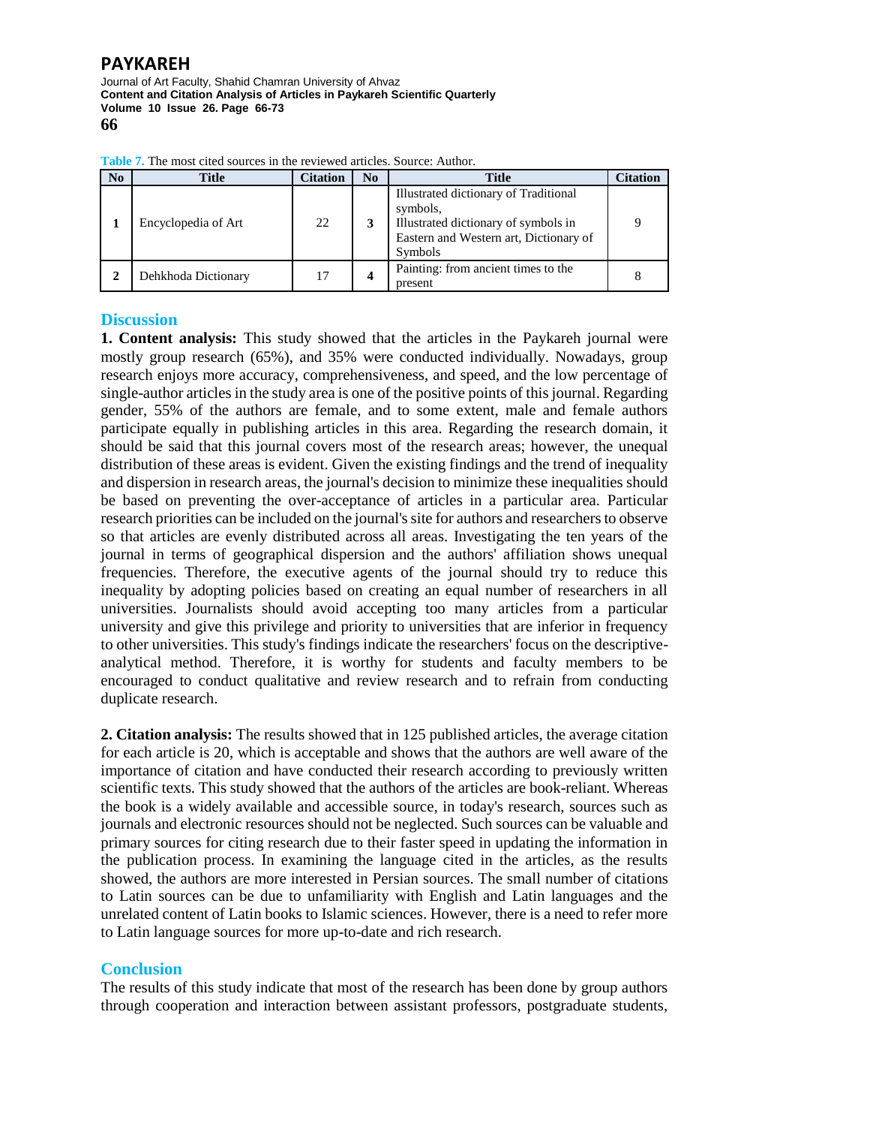Journal of Art Faculty, Shahid Chamran University of Ahvaz **Content and Citation Analysis of Articles in Paykareh Scientific Quarterly Volume 10 Issue 26. Page 66-73 66**

| No | <b>Title</b>        | Citation | N <sub>0</sub> | <b>Title</b>                                                                                                                                   | Citation |
|----|---------------------|----------|----------------|------------------------------------------------------------------------------------------------------------------------------------------------|----------|
|    | Encyclopedia of Art | 22       |                | Illustrated dictionary of Traditional<br>symbols,<br>Illustrated dictionary of symbols in<br>Eastern and Western art, Dictionary of<br>Symbols | Q        |
|    | Dehkhoda Dictionary | 17       |                | Painting: from ancient times to the<br>present                                                                                                 |          |

**Table 7.** The most cited sources in the reviewed articles. Source: Author.

## **Discussion**

**1. Content analysis:** This study showed that the articles in the Paykareh journal were mostly group research (65%), and 35% were conducted individually. Nowadays, group research enjoys more accuracy, comprehensiveness, and speed, and the low percentage of single-author articles in the study area is one of the positive points of this journal. Regarding gender, 55% of the authors are female, and to some extent, male and female authors participate equally in publishing articles in this area. Regarding the research domain, it should be said that this journal covers most of the research areas; however, the unequal distribution of these areas is evident. Given the existing findings and the trend of inequality and dispersion in research areas, the journal's decision to minimize these inequalities should be based on preventing the over-acceptance of articles in a particular area. Particular research priorities can be included on the journal's site for authors and researchers to observe so that articles are evenly distributed across all areas. Investigating the ten years of the journal in terms of geographical dispersion and the authors' affiliation shows unequal frequencies. Therefore, the executive agents of the journal should try to reduce this inequality by adopting policies based on creating an equal number of researchers in all universities. Journalists should avoid accepting too many articles from a particular university and give this privilege and priority to universities that are inferior in frequency to other universities. This study's findings indicate the researchers' focus on the descriptiveanalytical method. Therefore, it is worthy for students and faculty members to be encouraged to conduct qualitative and review research and to refrain from conducting duplicate research.

**2. Citation analysis:** The results showed that in 125 published articles, the average citation for each article is 20, which is acceptable and shows that the authors are well aware of the importance of citation and have conducted their research according to previously written scientific texts. This study showed that the authors of the articles are book-reliant. Whereas the book is a widely available and accessible source, in today's research, sources such as journals and electronic resources should not be neglected. Such sources can be valuable and primary sources for citing research due to their faster speed in updating the information in the publication process. In examining the language cited in the articles, as the results showed, the authors are more interested in Persian sources. The small number of citations to Latin sources can be due to unfamiliarity with English and Latin languages and the unrelated content of Latin books to Islamic sciences. However, there is a need to refer more to Latin language sources for more up-to-date and rich research.

## **Conclusion**

The results of this study indicate that most of the research has been done by group authors through cooperation and interaction between assistant professors, postgraduate students,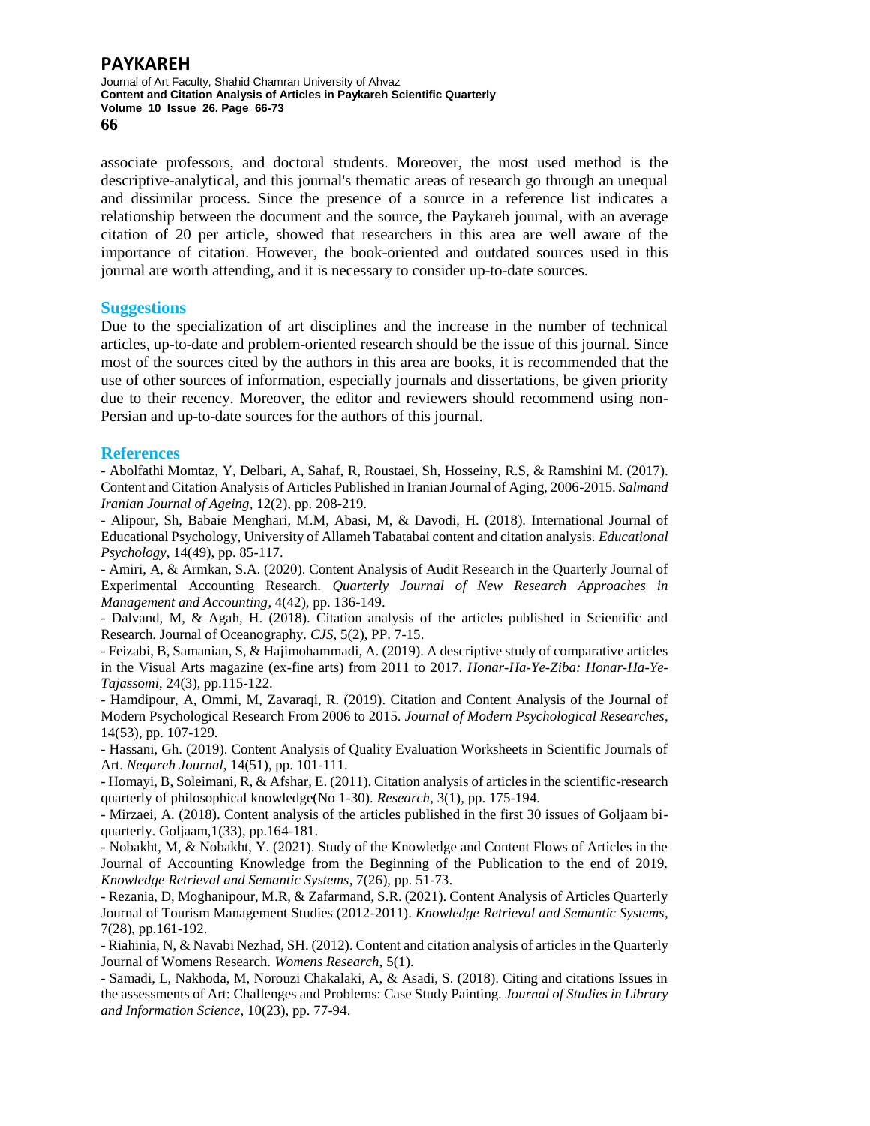Journal of Art Faculty, Shahid Chamran University of Ahvaz **Content and Citation Analysis of Articles in Paykareh Scientific Quarterly Volume 10 Issue 26. Page 66-73 66**

associate professors, and doctoral students. Moreover, the most used method is the descriptive-analytical, and this journal's thematic areas of research go through an unequal and dissimilar process. Since the presence of a source in a reference list indicates a relationship between the document and the source, the Paykareh journal, with an average citation of 20 per article, showed that researchers in this area are well aware of the importance of citation. However, the book-oriented and outdated sources used in this journal are worth attending, and it is necessary to consider up-to-date sources.

### **Suggestions**

Due to the specialization of art disciplines and the increase in the number of technical articles, up-to-date and problem-oriented research should be the issue of this journal. Since most of the sources cited by the authors in this area are books, it is recommended that the use of other sources of information, especially journals and dissertations, be given priority due to their recency. Moreover, the editor and reviewers should recommend using non-Persian and up-to-date sources for the authors of this journal.

## **References**

- Abolfathi Momtaz, Y, Delbari, A, Sahaf, R, Roustaei, Sh, Hosseiny, R.S, & Ramshini M. (2017). Content and Citation Analysis of Articles Published in Iranian Journal of Aging, 2006-2015. *Salmand Iranian Journal of Ageing*, 12(2), pp. 208-219.

- Alipour, Sh, Babaie Menghari, M.M, Abasi, M, & Davodi, H. (2018). International Journal of Educational Psychology, University of Allameh Tabatabai content and citation analysis. *Educational Psychology*, 14(49), pp. 85-117.

- Amiri, A, & Armkan, S.A. (2020). Content Analysis of Audit Research in the Quarterly Journal of Experimental Accounting Research. *Quarterly Journal of New Research Approaches in Management and Accounting*, 4(42), pp. 136-149.

- Dalvand, M, & Agah, H. (2018). Citation analysis of the articles published in Scientific and Research. Journal of Oceanography. *CJS*, 5(2), PP. 7-15.

- Feizabi, B, Samanian, S, & Hajimohammadi, A. (2019). A descriptive study of comparative articles in the Visual Arts magazine (ex-fine arts) from 2011 to 2017. *Honar-Ha-Ye-Ziba: Honar-Ha-Ye-Tajassomi*, 24(3), pp.115-122.

- Hamdipour, A, Ommi, M, Zavaraqi, R. (2019). Citation and Content Analysis of the Journal of Modern Psychological Research From 2006 to 2015. *Journal of Modern Psychological Researches*, 14(53), pp. 107-129.

- Hassani, Gh. (2019). Content Analysis of Quality Evaluation Worksheets in Scientific Journals of Art. *Negareh Journal*, 14(51), pp. 101-111.

- Homayi, B, Soleimani, R, & Afshar, E. (2011). Citation analysis of articles in the scientific-research quarterly of philosophical knowledge(No 1-30). *Research*, 3(1), pp. 175-194.

- Mirzaei, A. (2018). Content analysis of the articles published in the first 30 issues of Goljaam biquarterly. Goljaam,1(33), pp.164-181.

- Nobakht, M, & Nobakht, Y. (2021). Study of the Knowledge and Content Flows of Articles in the Journal of Accounting Knowledge from the Beginning of the Publication to the end of 2019. *Knowledge Retrieval and Semantic Systems*, 7(26), pp. 51-73.

- Rezania, D, Moghanipour, M.R, & Zafarmand, S.R. (2021). Content Analysis of Articles Quarterly Journal of Tourism Management Studies (2012-2011). *Knowledge Retrieval and Semantic Systems*, 7(28), pp.161-192.

- Riahinia, N, & Navabi Nezhad, SH. (2012). Content and citation analysis of articles in the Quarterly Journal of Womens Research. *Womens Research,* 5(1).

- Samadi, L, Nakhoda, M, Norouzi Chakalaki, A, & Asadi, S. (2018). Citing and citations Issues in the assessments of Art: Challenges and Problems: Case Study Painting. *Journal of Studies in Library and Information Science*, 10(23), pp. 77-94.